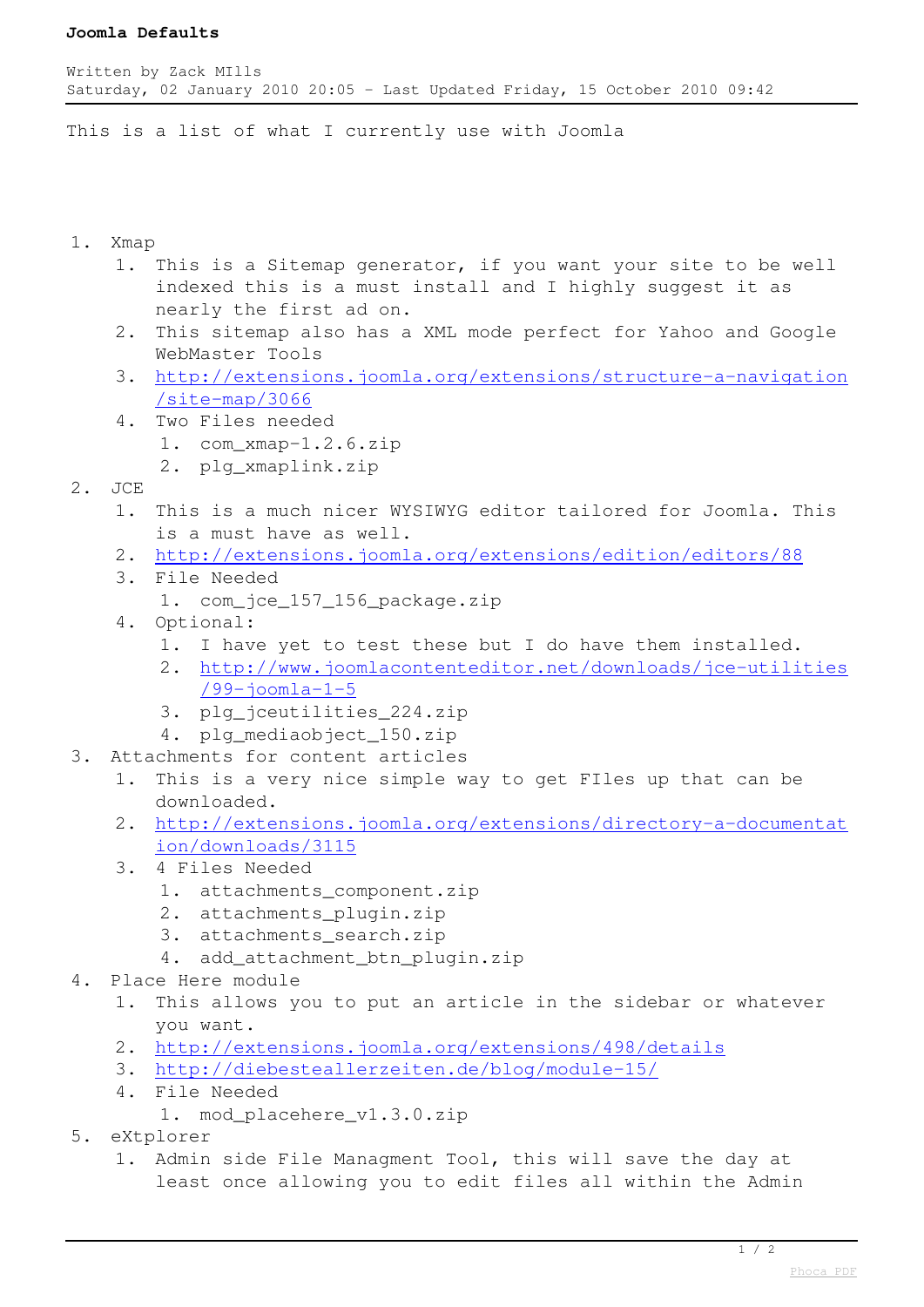## **Joomla Defaults**

This is a list of what I currently use with Joomla

## 1. Xmap

- 1. This is a Sitemap generator, if you want your site to be well indexed this is a must install and I highly suggest it as nearly the first ad on.
- 2. This sitemap also has a XML mode perfect for Yahoo and Google WebMaster Tools
- 3. [http://extensions.joomla.org/extensions/structure-a-navigation](http://extensions.joomla.org/extensions/structure-a-navigation/site-map/3066) [/site-map/3066](http://extensions.joomla.org/extensions/structure-a-navigation/site-map/3066)
- 4. Two Files needed
	- 1. com\_xmap-1.2.6.zip
	- 2. plg\_xmaplink.zip
- 2 JCE
	- 1. This is a much nicer WYSIWYG editor tailored for Joomla. This is a must have as well.
	- 2. <http://extensions.joomla.org/extensions/edition/editors/88>
	- 3. File Needed
		- 1. com\_jce\_157\_156\_package.zip
	- 4. Optional:
		- 1. I have yet to test these but I do have them installed.
		- 2. [http://www.joomlacontenteditor.net/downloads/jce-utilities](http://www.joomlacontenteditor.net/downloads/jce-utilities/99-joomla-1-5) [/99-joomla-1-5](http://www.joomlacontenteditor.net/downloads/jce-utilities/99-joomla-1-5)
		- 3. plg\_jceutilities\_224.zip
		- 4. plg\_mediaobject\_150.zip
- 3. Attachments for content articles
	- 1. This is a very nice simple way to get FIles up that can be downloaded.
	- 2. [http://extensions.joomla.org/extensions/directory-a-documentat](http://extensions.joomla.org/extensions/directory-a-documentation/downloads/3115) [ion/downloads/3115](http://extensions.joomla.org/extensions/directory-a-documentation/downloads/3115)
	- 3. 4 Files Needed
		- 1. attachments\_component.zip
		- 2. attachments plugin.zip
		- 3. attachments search.zip
		- 4. add\_attachment\_btn\_plugin.zip
- 4. Place Here module
	- 1. This allows you to put an article in the sidebar or whatever you want.
	- 2. <http://extensions.joomla.org/extensions/498/details>
	- 3. <http://diebesteallerzeiten.de/blog/module-15/>
	- 4. File Needed
		- 1. mod\_placehere\_v1.3.0.zip
- 5. eXtplorer
	- 1. Admin side File Managment Tool, this will save the day at least once allowing you to edit files all within the Admin